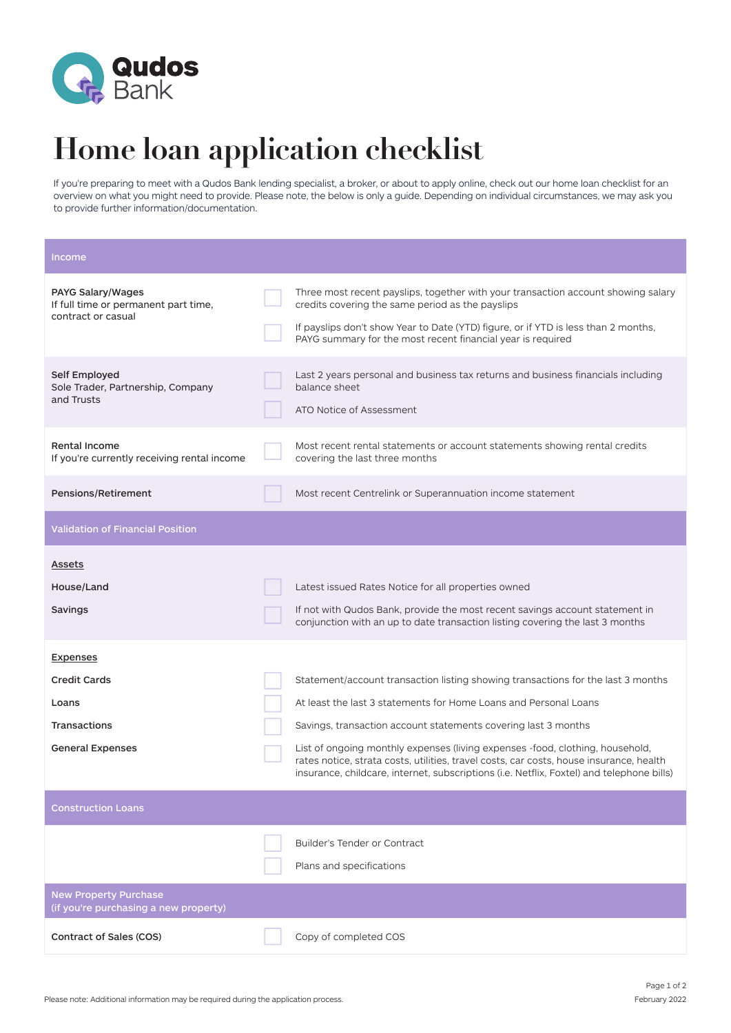

## **Home loan application checklist**

If you're preparing to meet with a Qudos Bank lending specialist, a broker, or about to apply online, check out our home loan checklist for an overview on what you might need to provide. Please note, the below is only a guide. Depending on individual circumstances, we may ask you to provide further information/documentation.

| Income                                                                          |                                                                                                                                                                                                                                                                                            |
|---------------------------------------------------------------------------------|--------------------------------------------------------------------------------------------------------------------------------------------------------------------------------------------------------------------------------------------------------------------------------------------|
| PAYG Salary/Wages<br>If full time or permanent part time,<br>contract or casual | Three most recent payslips, together with your transaction account showing salary<br>credits covering the same period as the payslips<br>If payslips don't show Year to Date (YTD) figure, or if YTD is less than 2 months,<br>PAYG summary for the most recent financial year is required |
| Self Employed<br>Sole Trader, Partnership, Company<br>and Trusts                | Last 2 years personal and business tax returns and business financials including<br>balance sheet<br>ATO Notice of Assessment                                                                                                                                                              |
| <b>Rental Income</b><br>If you're currently receiving rental income             | Most recent rental statements or account statements showing rental credits<br>covering the last three months                                                                                                                                                                               |
| Pensions/Retirement                                                             | Most recent Centrelink or Superannuation income statement                                                                                                                                                                                                                                  |
| <b>Validation of Financial Position</b>                                         |                                                                                                                                                                                                                                                                                            |
| <b>Assets</b>                                                                   |                                                                                                                                                                                                                                                                                            |
| House/Land                                                                      | Latest issued Rates Notice for all properties owned                                                                                                                                                                                                                                        |
| Savings                                                                         | If not with Qudos Bank, provide the most recent savings account statement in<br>conjunction with an up to date transaction listing covering the last 3 months                                                                                                                              |
| <b>Expenses</b>                                                                 |                                                                                                                                                                                                                                                                                            |
| <b>Credit Cards</b>                                                             | Statement/account transaction listing showing transactions for the last 3 months                                                                                                                                                                                                           |
| Loans                                                                           | At least the last 3 statements for Home Loans and Personal Loans                                                                                                                                                                                                                           |
| <b>Transactions</b>                                                             | Savings, transaction account statements covering last 3 months                                                                                                                                                                                                                             |
| <b>General Expenses</b>                                                         | List of ongoing monthly expenses (living expenses -food, clothing, household,<br>rates notice, strata costs, utilities, travel costs, car costs, house insurance, health<br>insurance, childcare, internet, subscriptions (i.e. Netflix, Foxtel) and telephone bills)                      |
| <b>Construction Loans</b>                                                       |                                                                                                                                                                                                                                                                                            |
|                                                                                 | Builder's Tender or Contract<br>Plans and specifications                                                                                                                                                                                                                                   |
| <b>New Property Purchase</b><br>(if you're purchasing a new property)           |                                                                                                                                                                                                                                                                                            |
| Contract of Sales (COS)                                                         | Copy of completed COS                                                                                                                                                                                                                                                                      |